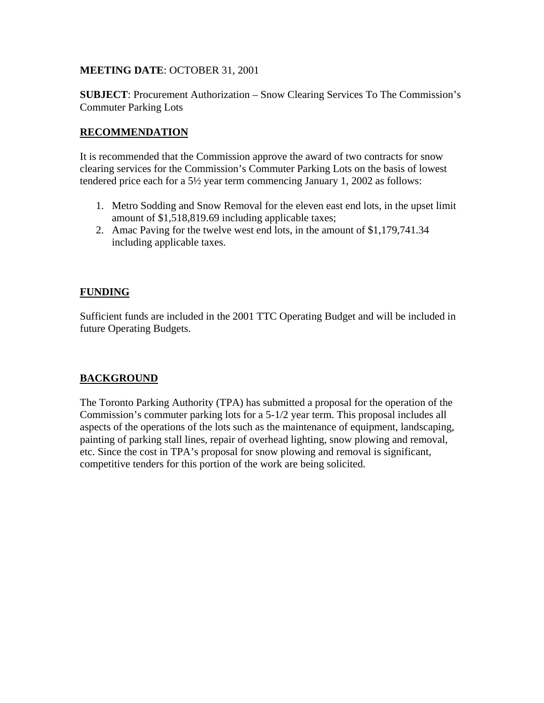# **MEETING DATE**: OCTOBER 31, 2001

**SUBJECT**: Procurement Authorization – Snow Clearing Services To The Commission's Commuter Parking Lots

## **RECOMMENDATION**

It is recommended that the Commission approve the award of two contracts for snow clearing services for the Commission's Commuter Parking Lots on the basis of lowest tendered price each for a 5½ year term commencing January 1, 2002 as follows:

- 1. Metro Sodding and Snow Removal for the eleven east end lots, in the upset limit amount of \$1,518,819.69 including applicable taxes;
- 2. Amac Paving for the twelve west end lots, in the amount of \$1,179,741.34 including applicable taxes.

### **FUNDING**

Sufficient funds are included in the 2001 TTC Operating Budget and will be included in future Operating Budgets.

# **BACKGROUND**

The Toronto Parking Authority (TPA) has submitted a proposal for the operation of the Commission's commuter parking lots for a 5-1/2 year term. This proposal includes all aspects of the operations of the lots such as the maintenance of equipment, landscaping, painting of parking stall lines, repair of overhead lighting, snow plowing and removal, etc. Since the cost in TPA's proposal for snow plowing and removal is significant, competitive tenders for this portion of the work are being solicited.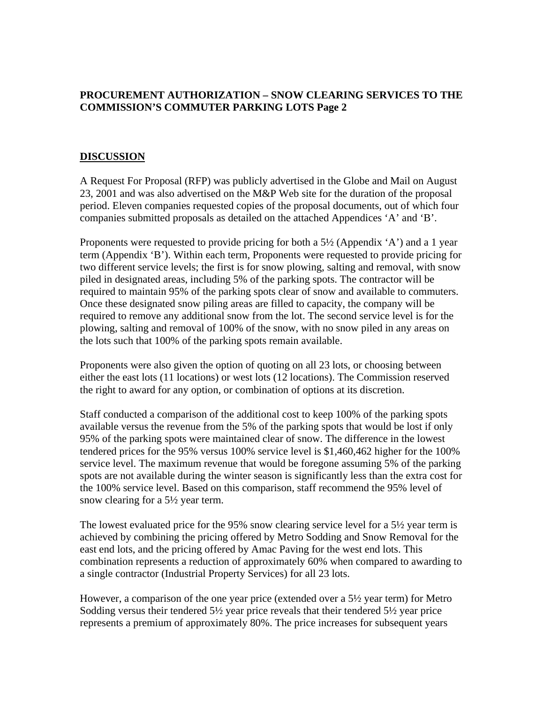# **PROCUREMENT AUTHORIZATION – SNOW CLEARING SERVICES TO THE COMMISSION'S COMMUTER PARKING LOTS Page 2**

#### **DISCUSSION**

A Request For Proposal (RFP) was publicly advertised in the Globe and Mail on August 23, 2001 and was also advertised on the M&P Web site for the duration of the proposal period. Eleven companies requested copies of the proposal documents, out of which four companies submitted proposals as detailed on the attached Appendices 'A' and 'B'.

Proponents were requested to provide pricing for both a 5½ (Appendix 'A') and a 1 year term (Appendix 'B'). Within each term, Proponents were requested to provide pricing for two different service levels; the first is for snow plowing, salting and removal, with snow piled in designated areas, including 5% of the parking spots. The contractor will be required to maintain 95% of the parking spots clear of snow and available to commuters. Once these designated snow piling areas are filled to capacity, the company will be required to remove any additional snow from the lot. The second service level is for the plowing, salting and removal of 100% of the snow, with no snow piled in any areas on the lots such that 100% of the parking spots remain available.

Proponents were also given the option of quoting on all 23 lots, or choosing between either the east lots (11 locations) or west lots (12 locations). The Commission reserved the right to award for any option, or combination of options at its discretion.

Staff conducted a comparison of the additional cost to keep 100% of the parking spots available versus the revenue from the 5% of the parking spots that would be lost if only 95% of the parking spots were maintained clear of snow. The difference in the lowest tendered prices for the 95% versus 100% service level is \$1,460,462 higher for the 100% service level. The maximum revenue that would be foregone assuming 5% of the parking spots are not available during the winter season is significantly less than the extra cost for the 100% service level. Based on this comparison, staff recommend the 95% level of snow clearing for a 5½ year term.

The lowest evaluated price for the 95% snow clearing service level for a 5½ year term is achieved by combining the pricing offered by Metro Sodding and Snow Removal for the east end lots, and the pricing offered by Amac Paving for the west end lots. This combination represents a reduction of approximately 60% when compared to awarding to a single contractor (Industrial Property Services) for all 23 lots.

However, a comparison of the one year price (extended over a 5½ year term) for Metro Sodding versus their tendered  $5\frac{1}{2}$  year price reveals that their tendered  $5\frac{1}{2}$  year price represents a premium of approximately 80%. The price increases for subsequent years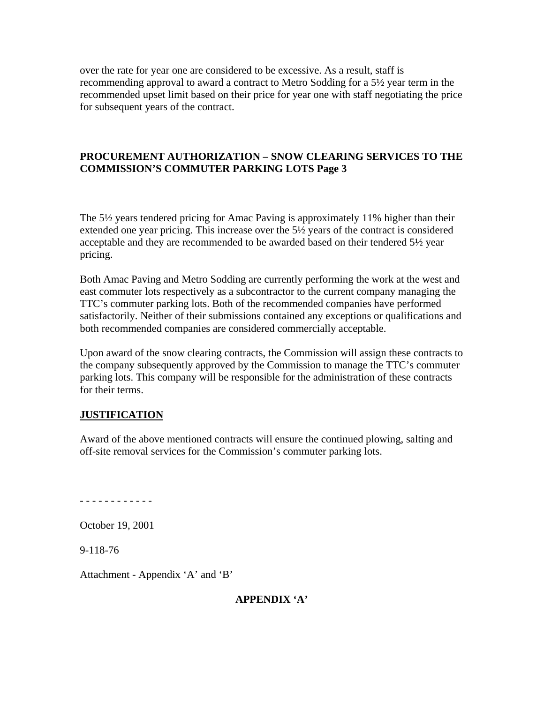over the rate for year one are considered to be excessive. As a result, staff is recommending approval to award a contract to Metro Sodding for a 5½ year term in the recommended upset limit based on their price for year one with staff negotiating the price for subsequent years of the contract.

# **PROCUREMENT AUTHORIZATION – SNOW CLEARING SERVICES TO THE COMMISSION'S COMMUTER PARKING LOTS Page 3**

The 5½ years tendered pricing for Amac Paving is approximately 11% higher than their extended one year pricing. This increase over the 5½ years of the contract is considered acceptable and they are recommended to be awarded based on their tendered 5½ year pricing.

Both Amac Paving and Metro Sodding are currently performing the work at the west and east commuter lots respectively as a subcontractor to the current company managing the TTC's commuter parking lots. Both of the recommended companies have performed satisfactorily. Neither of their submissions contained any exceptions or qualifications and both recommended companies are considered commercially acceptable.

Upon award of the snow clearing contracts, the Commission will assign these contracts to the company subsequently approved by the Commission to manage the TTC's commuter parking lots. This company will be responsible for the administration of these contracts for their terms.

#### **JUSTIFICATION**

Award of the above mentioned contracts will ensure the continued plowing, salting and off-site removal services for the Commission's commuter parking lots.

- - - - - - - - - - - -

October 19, 2001

9-118-76

Attachment - Appendix 'A' and 'B'

#### **APPENDIX 'A'**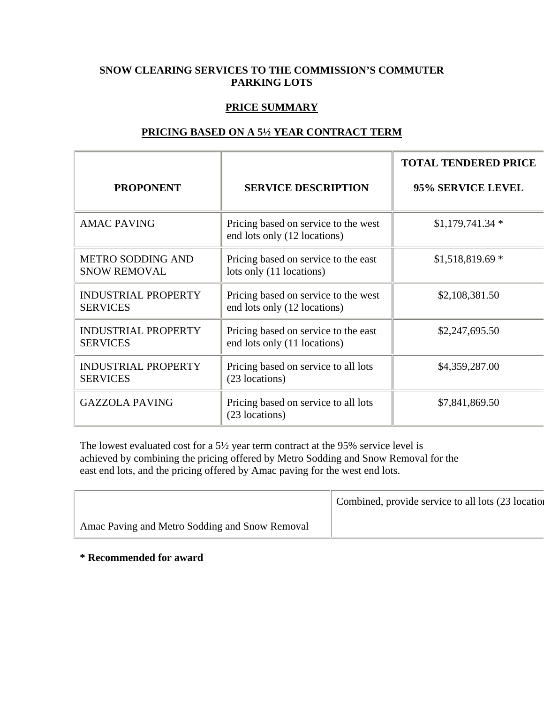# **SNOW CLEARING SERVICES TO THE COMMISSION'S COMMUTER PARKING LOTS**

## **PRICE SUMMARY**

| <b>PROPONENT</b>                                | <b>SERVICE DESCRIPTION</b>                                           | <b>TOTAL TENDERED PRICE</b><br>95% SERVICE LEVEL |
|-------------------------------------------------|----------------------------------------------------------------------|--------------------------------------------------|
|                                                 |                                                                      |                                                  |
| <b>AMAC PAVING</b>                              | Pricing based on service to the west<br>end lots only (12 locations) | $$1,179,741.34*$                                 |
| <b>METRO SODDING AND</b><br><b>SNOW REMOVAL</b> | Pricing based on service to the east<br>lots only (11 locations)     | $$1,518,819.69*$                                 |
| <b>INDUSTRIAL PROPERTY</b><br><b>SERVICES</b>   | Pricing based on service to the west<br>end lots only (12 locations) | \$2,108,381.50                                   |
| <b>INDUSTRIAL PROPERTY</b><br><b>SERVICES</b>   | Pricing based on service to the east<br>end lots only (11 locations) | \$2,247,695.50                                   |
| <b>INDUSTRIAL PROPERTY</b><br><b>SERVICES</b>   | Pricing based on service to all lots<br>(23 locations)               | \$4,359,287.00                                   |
| <b>GAZZOLA PAVING</b>                           | Pricing based on service to all lots<br>(23 locations)               | \$7,841,869.50                                   |

#### **PRICING BASED ON A 5½ YEAR CONTRACT TERM**

The lowest evaluated cost for a 5½ year term contract at the 95% service level is achieved by combining the pricing offered by Metro Sodding and Snow Removal for the east end lots, and the pricing offered by Amac paving for the west end lots.

|                                                | Combined, provide service to all lots (23 location |
|------------------------------------------------|----------------------------------------------------|
| Amac Paving and Metro Sodding and Snow Removal |                                                    |

**\* Recommended for award**